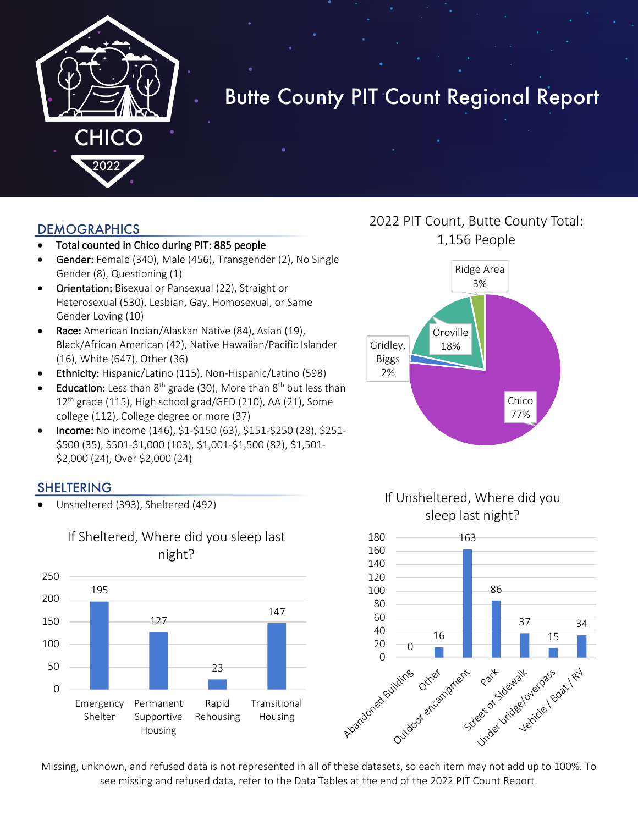

# Butte County PIT Count Regional Report

#### DEMOGRAPHICS

- Total counted in Chico during PIT: 885 people
- Gender: Female (340), Male (456), Transgender (2), No Single Gender (8), Questioning (1)
- Orientation: Bisexual or Pansexual (22), Straight or Heterosexual (530), Lesbian, Gay, Homosexual, or Same Gender Loving (10)
- Race: American Indian/Alaskan Native (84), Asian (19), Black/African American (42), Native Hawaiian/Pacific Islander (16), White (647), Other (36)
- Ethnicity: Hispanic/Latino (115), Non-Hispanic/Latino (598)
- **Education:** Less than  $8^{th}$  grade (30), More than  $8^{th}$  but less than  $12<sup>th</sup>$  grade (115), High school grad/GED (210), AA (21), Some college (112), College degree or more (37)
- Income: No income (146), \$1-\$150 (63), \$151-\$250 (28), \$251- \$500 (35), \$501-\$1,000 (103), \$1,001-\$1,500 (82), \$1,501- \$2,000 (24), Over \$2,000 (24)

#### SHELTERING

• Unsheltered (393), Sheltered (492)



## 2022 PIT Count, Butte County Total: 1,156 People







Missing, unknown, and refused data is not represented in all of these datasets, so each item may not add up to 100%. To see missing and refused data, refer to the Data Tables at the end of the 2022 PIT Count Report.